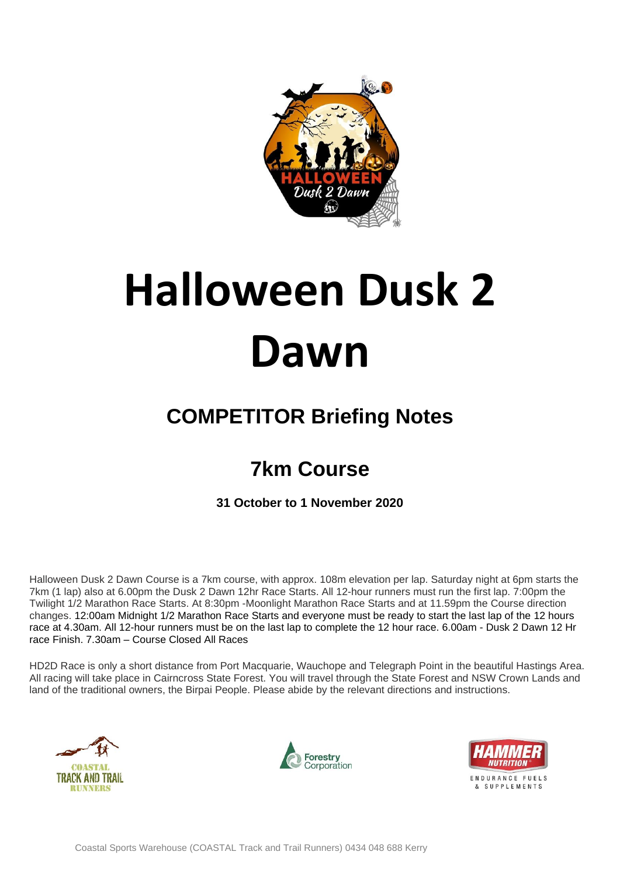

# **Halloween Dusk 2 Dawn**

## **COMPETITOR Briefing Notes**

## **7km Course**

**31 October to 1 November 2020**

Halloween Dusk 2 Dawn Course is a 7km course, with approx. 108m elevation per lap. Saturday night at 6pm starts the 7km (1 lap) also at 6.00pm the Dusk 2 Dawn 12hr Race Starts. All 12-hour runners must run the first lap. 7:00pm the Twilight 1/2 Marathon Race Starts. At 8:30pm -Moonlight Marathon Race Starts and at 11.59pm the Course direction changes. 12:00am Midnight 1/2 Marathon Race Starts and everyone must be ready to start the last lap of the 12 hours race at 4.30am. All 12-hour runners must be on the last lap to complete the 12 hour race. 6.00am - Dusk 2 Dawn 12 Hr race Finish. 7.30am – Course Closed All Races

HD2D Race is only a short distance from Port Macquarie, Wauchope and Telegraph Point in the beautiful Hastings Area. All racing will take place in Cairncross State Forest. You will travel through the State Forest and NSW Crown Lands and land of the traditional owners, the Birpai People. Please abide by the relevant directions and instructions.





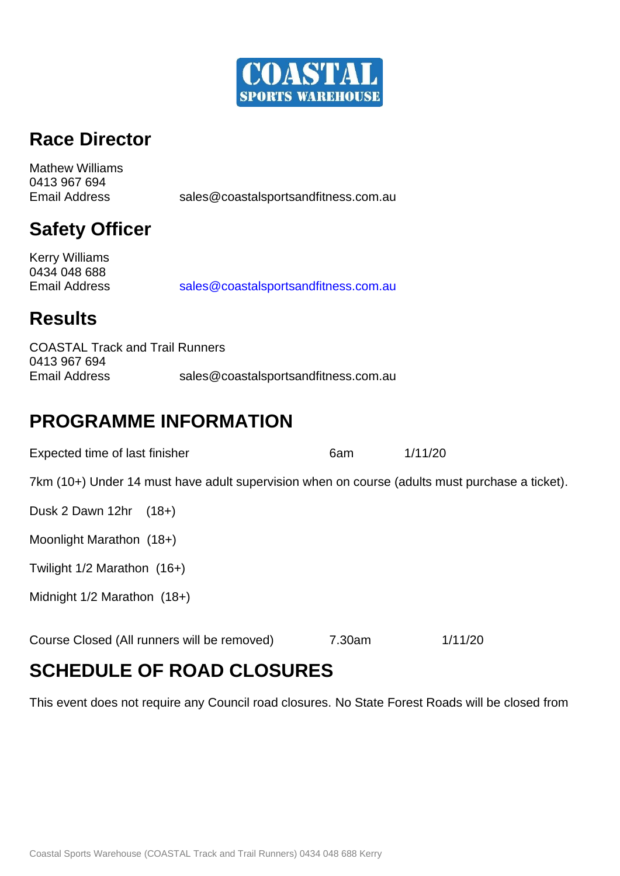

## **Race Director**

Mathew Williams 0413 967 694 Email Address [sales@coastalsportsandfitness.com.au](mailto:sales@coastalsportsandfitness.com.au)

## **Safety Officer**

Kerry Williams 0434 048 688 Email Address [sales@coastalsportsandfitness.com.au](mailto:sales@coastalsportsandfitness.com.au)

## **Results**

COASTAL Track and Trail Runners 0413 967 694 Email Address sales@coastalsportsandfitness.com.au

## **PROGRAMME INFORMATION**

| Expected time of last finisher                                                                 | 6am    | 1/11/20 |
|------------------------------------------------------------------------------------------------|--------|---------|
| 7km (10+) Under 14 must have adult supervision when on course (adults must purchase a ticket). |        |         |
| Dusk 2 Dawn 12hr<br>$(18+)$                                                                    |        |         |
| Moonlight Marathon (18+)                                                                       |        |         |
| Twilight $1/2$ Marathon $(16+)$                                                                |        |         |
| Midnight $1/2$ Marathon $(18+)$                                                                |        |         |
| Course Closed (All runners will be removed)                                                    | 7.30am | 1/11/20 |

## **SCHEDULE OF ROAD CLOSURES**

This event does not require any Council road closures. No State Forest Roads will be closed from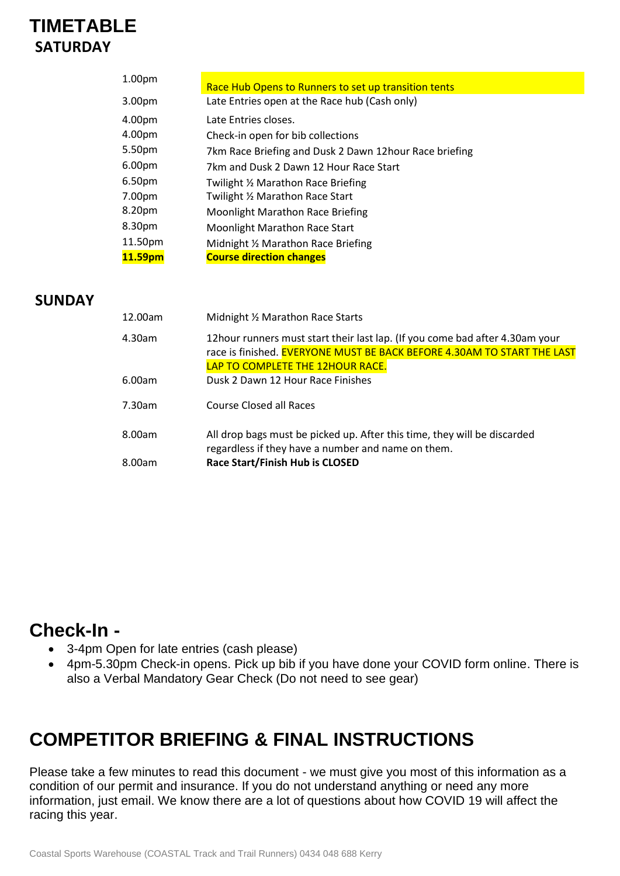## **TIMETABLE SATURDAY**

| 1.00pm             | Race Hub Opens to Runners to set up transition tents   |
|--------------------|--------------------------------------------------------|
| 3.00pm             | Late Entries open at the Race hub (Cash only)          |
| 4.00pm             | Late Entries closes.                                   |
| 4.00pm             | Check-in open for bib collections                      |
| 5.50pm             | 7km Race Briefing and Dusk 2 Dawn 12hour Race briefing |
| 6.00 <sub>pm</sub> | 7km and Dusk 2 Dawn 12 Hour Race Start                 |
| 6.50pm             | Twilight 1/2 Marathon Race Briefing                    |
| 7.00pm             | Twilight 1/2 Marathon Race Start                       |
| 8.20pm             | <b>Moonlight Marathon Race Briefing</b>                |
| 8.30pm             | Moonlight Marathon Race Start                          |
| 11.50pm            | Midnight 1/2 Marathon Race Briefing                    |
| 11.59pm            | <b>Course direction changes</b>                        |

### **SUNDAY**

| 12.00am | Midnight 1/2 Marathon Race Starts                                                                                                                                                             |
|---------|-----------------------------------------------------------------------------------------------------------------------------------------------------------------------------------------------|
| 4.30am  | 12 hour runners must start their last lap. (If you come bad after 4.30 am your<br>race is finished. EVERYONE MUST BE BACK BEFORE 4.30AM TO START THE LAST<br>LAP TO COMPLETE THE 12HOUR RACE. |
| 6.00am  | Dusk 2 Dawn 12 Hour Race Finishes                                                                                                                                                             |
| 7.30am  | Course Closed all Races                                                                                                                                                                       |
| 8.00am  | All drop bags must be picked up. After this time, they will be discarded<br>regardless if they have a number and name on them.                                                                |
| 8.00am  | <b>Race Start/Finish Hub is CLOSED</b>                                                                                                                                                        |

### **Check-In -**

- 3-4pm Open for late entries (cash please)
- 4pm-5.30pm Check-in opens. Pick up bib if you have done your COVID form online. There is also a Verbal Mandatory Gear Check (Do not need to see gear)

## **COMPETITOR BRIEFING & FINAL INSTRUCTIONS**

Please take a few minutes to read this document - we must give you most of this information as a condition of our permit and insurance. If you do not understand anything or need any more information, just email. We know there are a lot of questions about how COVID 19 will affect the racing this year.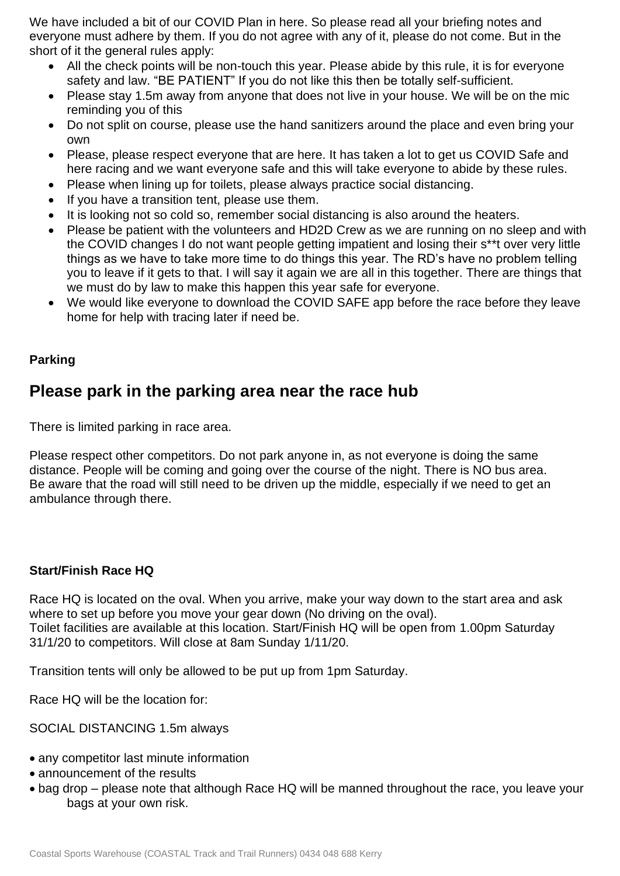We have included a bit of our COVID Plan in here. So please read all your briefing notes and everyone must adhere by them. If you do not agree with any of it, please do not come. But in the short of it the general rules apply:

- All the check points will be non-touch this year. Please abide by this rule, it is for everyone safety and law. "BE PATIENT" If you do not like this then be totally self-sufficient.
- Please stay 1.5m away from anyone that does not live in your house. We will be on the mic reminding you of this
- Do not split on course, please use the hand sanitizers around the place and even bring your own
- Please, please respect everyone that are here. It has taken a lot to get us COVID Safe and here racing and we want everyone safe and this will take everyone to abide by these rules.
- Please when lining up for toilets, please always practice social distancing.
- If you have a transition tent, please use them.
- It is looking not so cold so, remember social distancing is also around the heaters.
- Please be patient with the volunteers and HD2D Crew as we are running on no sleep and with the COVID changes I do not want people getting impatient and losing their s\*\*t over very little things as we have to take more time to do things this year. The RD's have no problem telling you to leave if it gets to that. I will say it again we are all in this together. There are things that we must do by law to make this happen this year safe for everyone.
- We would like everyone to download the COVID SAFE app before the race before they leave home for help with tracing later if need be.

### **Parking**

### **Please park in the parking area near the race hub**

There is limited parking in race area.

Please respect other competitors. Do not park anyone in, as not everyone is doing the same distance. People will be coming and going over the course of the night. There is NO bus area. Be aware that the road will still need to be driven up the middle, especially if we need to get an ambulance through there.

### **Start/Finish Race HQ**

Race HQ is located on the oval. When you arrive, make your way down to the start area and ask where to set up before you move your gear down (No driving on the oval). Toilet facilities are available at this location. Start/Finish HQ will be open from 1.00pm Saturday 31/1/20 to competitors. Will close at 8am Sunday 1/11/20.

Transition tents will only be allowed to be put up from 1pm Saturday.

Race HQ will be the location for:

SOCIAL DISTANCING 1.5m always

- any competitor last minute information
- announcement of the results
- bag drop please note that although Race HQ will be manned throughout the race, you leave your bags at your own risk.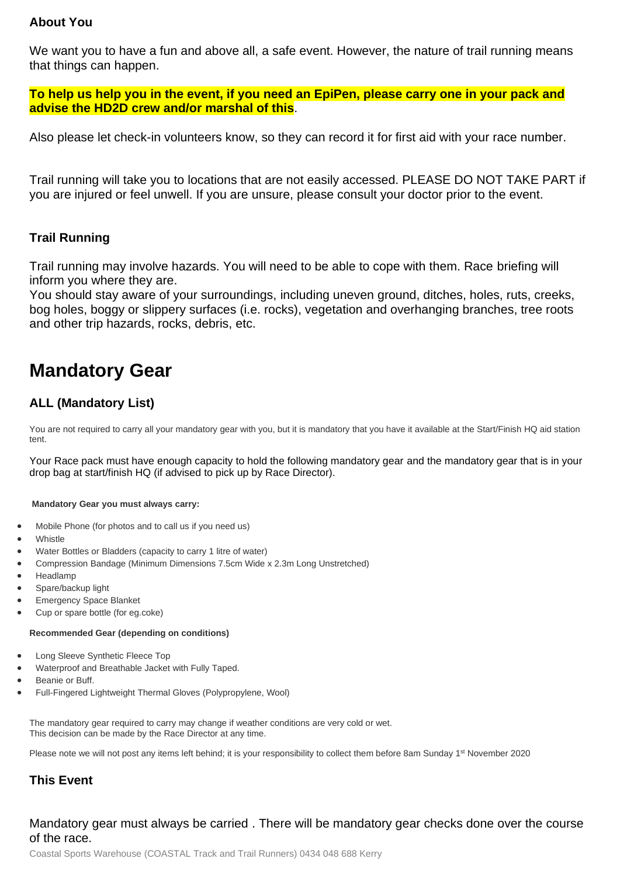### **About You**

We want you to have a fun and above all, a safe event. However, the nature of trail running means that things can happen.

**To help us help you in the event, if you need an EpiPen, please carry one in your pack and advise the HD2D crew and/or marshal of this**.

Also please let check-in volunteers know, so they can record it for first aid with your race number.

Trail running will take you to locations that are not easily accessed. PLEASE DO NOT TAKE PART if you are injured or feel unwell. If you are unsure, please consult your doctor prior to the event.

### **Trail Running**

Trail running may involve hazards. You will need to be able to cope with them. Race briefing will inform you where they are.

You should stay aware of your surroundings, including uneven ground, ditches, holes, ruts, creeks, bog holes, boggy or slippery surfaces (i.e. rocks), vegetation and overhanging branches, tree roots and other trip hazards, rocks, debris, etc.

## **Mandatory Gear**

### **ALL (Mandatory List)**

You are not required to carry all your mandatory gear with you, but it is mandatory that you have it available at the Start/Finish HQ aid station tent.

Your Race pack must have enough capacity to hold the following mandatory gear and the mandatory gear that is in your drop bag at start/finish HQ (if advised to pick up by Race Director).

### **Mandatory Gear you must always carry:**

- Mobile Phone (for photos and to call us if you need us)
- **Whistle**
- Water Bottles or Bladders (capacity to carry 1 litre of water)
- Compression Bandage (Minimum Dimensions 7.5cm Wide x 2.3m Long Unstretched)
- Headlamp
- Spare/backup light
- **Emergency Space Blanket**
- Cup or spare bottle (for eg.coke)

#### **Recommended Gear (depending on conditions)**

- Long Sleeve Synthetic Fleece Top
- Waterproof and Breathable Jacket with Fully Taped.
- Beanie or Buff.
- Full-Fingered Lightweight Thermal Gloves (Polypropylene, Wool)

The mandatory gear required to carry may change if weather conditions are very cold or wet. This decision can be made by the Race Director at any time.

Please note we will not post any items left behind; it is your responsibility to collect them before 8am Sunday 1<sup>st</sup> November 2020

### **This Event**

### Mandatory gear must always be carried . There will be mandatory gear checks done over the course of the race.

Coastal Sports Warehouse (COASTAL Track and Trail Runners) 0434 048 688 Kerry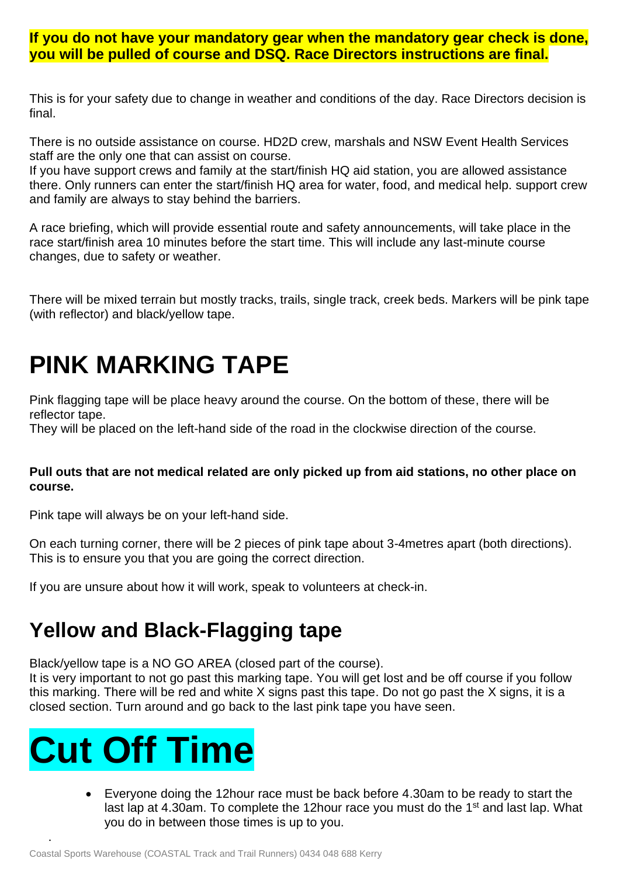### **If you do not have your mandatory gear when the mandatory gear check is done, you will be pulled of course and DSQ. Race Directors instructions are final.**

This is for your safety due to change in weather and conditions of the day. Race Directors decision is final.

There is no outside assistance on course. HD2D crew, marshals and NSW Event Health Services staff are the only one that can assist on course.

If you have support crews and family at the start/finish HQ aid station, you are allowed assistance there. Only runners can enter the start/finish HQ area for water, food, and medical help. support crew and family are always to stay behind the barriers.

A race briefing, which will provide essential route and safety announcements, will take place in the race start/finish area 10 minutes before the start time. This will include any last-minute course changes, due to safety or weather.

There will be mixed terrain but mostly tracks, trails, single track, creek beds. Markers will be pink tape (with reflector) and black/yellow tape.

## **PINK MARKING TAPE**

Pink flagging tape will be place heavy around the course. On the bottom of these, there will be reflector tape.

They will be placed on the left-hand side of the road in the clockwise direction of the course.

### **Pull outs that are not medical related are only picked up from aid stations, no other place on course.**

Pink tape will always be on your left-hand side.

On each turning corner, there will be 2 pieces of pink tape about 3-4metres apart (both directions). This is to ensure you that you are going the correct direction.

If you are unsure about how it will work, speak to volunteers at check-in.

## **Yellow and Black-Flagging tape**

Black/yellow tape is a NO GO AREA (closed part of the course).

It is very important to not go past this marking tape. You will get lost and be off course if you follow this marking. There will be red and white X signs past this tape. Do not go past the X signs, it is a closed section. Turn around and go back to the last pink tape you have seen.

## **Cut Off Time**

.

• Everyone doing the 12hour race must be back before 4.30am to be ready to start the last lap at 4.30am. To complete the 12hour race you must do the 1<sup>st</sup> and last lap. What you do in between those times is up to you.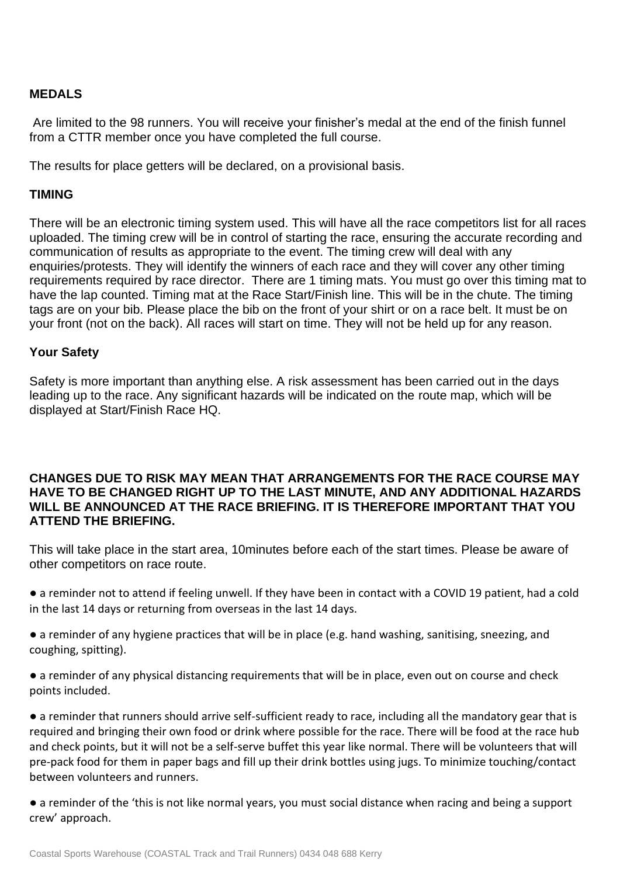### **MEDALS**

Are limited to the 98 runners. You will receive your finisher's medal at the end of the finish funnel from a CTTR member once you have completed the full course.

The results for place getters will be declared, on a provisional basis.

### **TIMING**

There will be an electronic timing system used. This will have all the race competitors list for all races uploaded. The timing crew will be in control of starting the race, ensuring the accurate recording and communication of results as appropriate to the event. The timing crew will deal with any enquiries/protests. They will identify the winners of each race and they will cover any other timing requirements required by race director. There are 1 timing mats. You must go over this timing mat to have the lap counted. Timing mat at the Race Start/Finish line. This will be in the chute. The timing tags are on your bib. Please place the bib on the front of your shirt or on a race belt. It must be on your front (not on the back). All races will start on time. They will not be held up for any reason.

### **Your Safety**

Safety is more important than anything else. A risk assessment has been carried out in the days leading up to the race. Any significant hazards will be indicated on the route map, which will be displayed at Start/Finish Race HQ.

### **CHANGES DUE TO RISK MAY MEAN THAT ARRANGEMENTS FOR THE RACE COURSE MAY HAVE TO BE CHANGED RIGHT UP TO THE LAST MINUTE, AND ANY ADDITIONAL HAZARDS WILL BE ANNOUNCED AT THE RACE BRIEFING. IT IS THEREFORE IMPORTANT THAT YOU ATTEND THE BRIEFING.**

This will take place in the start area, 10minutes before each of the start times. Please be aware of other competitors on race route.

- a reminder not to attend if feeling unwell. If they have been in contact with a COVID 19 patient, had a cold in the last 14 days or returning from overseas in the last 14 days.
- a reminder of any hygiene practices that will be in place (e.g. hand washing, sanitising, sneezing, and coughing, spitting).
- a reminder of any physical distancing requirements that will be in place, even out on course and check points included.

● a reminder that runners should arrive self-sufficient ready to race, including all the mandatory gear that is required and bringing their own food or drink where possible for the race. There will be food at the race hub and check points, but it will not be a self-serve buffet this year like normal. There will be volunteers that will pre-pack food for them in paper bags and fill up their drink bottles using jugs. To minimize touching/contact between volunteers and runners.

● a reminder of the 'this is not like normal years, you must social distance when racing and being a support crew' approach.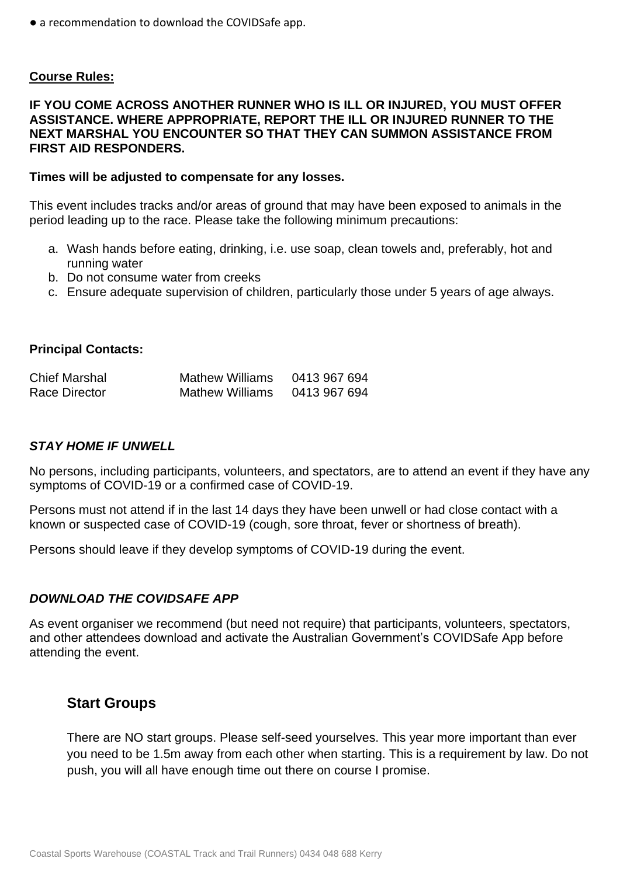● a recommendation to download the COVIDSafe app.

### **Course Rules:**

### **IF YOU COME ACROSS ANOTHER RUNNER WHO IS ILL OR INJURED, YOU MUST OFFER ASSISTANCE. WHERE APPROPRIATE, REPORT THE ILL OR INJURED RUNNER TO THE NEXT MARSHAL YOU ENCOUNTER SO THAT THEY CAN SUMMON ASSISTANCE FROM FIRST AID RESPONDERS.**

### **Times will be adjusted to compensate for any losses.**

This event includes tracks and/or areas of ground that may have been exposed to animals in the period leading up to the race. Please take the following minimum precautions:

- a. Wash hands before eating, drinking, i.e. use soap, clean towels and, preferably, hot and running water
- b. Do not consume water from creeks
- c. Ensure adequate supervision of children, particularly those under 5 years of age always.

### **Principal Contacts:**

| <b>Chief Marshal</b> | <b>Mathew Williams</b> | 0413 967 694 |
|----------------------|------------------------|--------------|
| Race Director        | <b>Mathew Williams</b> | 0413 967 694 |

### *STAY HOME IF UNWELL*

No persons, including participants, volunteers, and spectators, are to attend an event if they have any symptoms of COVID-19 or a confirmed case of COVID-19.

Persons must not attend if in the last 14 days they have been unwell or had close contact with a known or suspected case of COVID-19 (cough, sore throat, fever or shortness of breath).

Persons should leave if they develop symptoms of COVID-19 during the event.

### *DOWNLOAD THE COVIDSAFE APP*

As event organiser we recommend (but need not require) that participants, volunteers, spectators, and other attendees download and activate the Australian Government's COVIDSafe App before attending the event.

### **Start Groups**

There are NO start groups. Please self-seed yourselves. This year more important than ever you need to be 1.5m away from each other when starting. This is a requirement by law. Do not push, you will all have enough time out there on course I promise.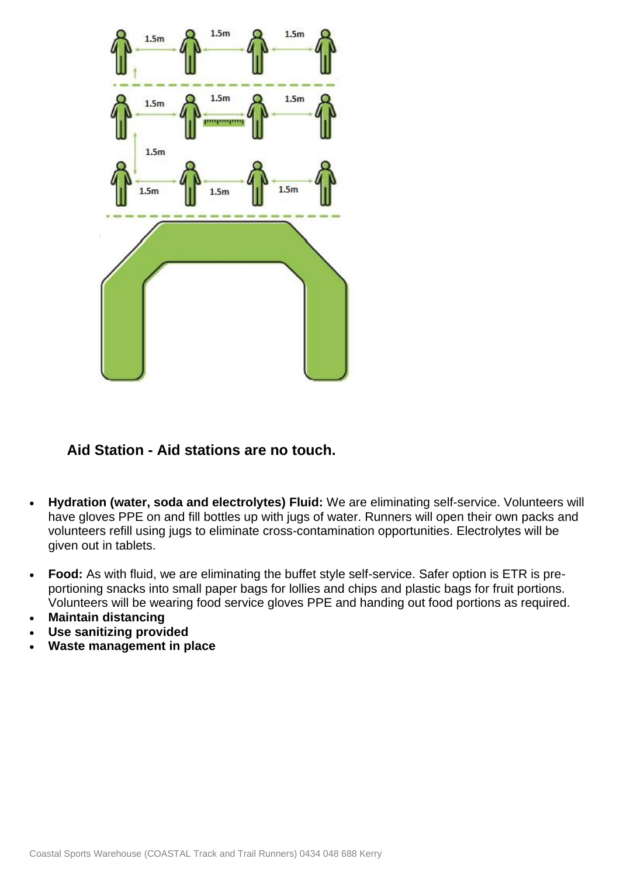

### **Aid Station - Aid stations are no touch.**

- **Hydration (water, soda and electrolytes) Fluid:** We are eliminating self-service. Volunteers will have gloves PPE on and fill bottles up with jugs of water. Runners will open their own packs and volunteers refill using jugs to eliminate cross-contamination opportunities. Electrolytes will be given out in tablets.
- **Food:** As with fluid, we are eliminating the buffet style self-service. Safer option is ETR is preportioning snacks into small paper bags for lollies and chips and plastic bags for fruit portions. Volunteers will be wearing food service gloves PPE and handing out food portions as required.
- **Maintain distancing**
- **Use sanitizing provided**
- **Waste management in place**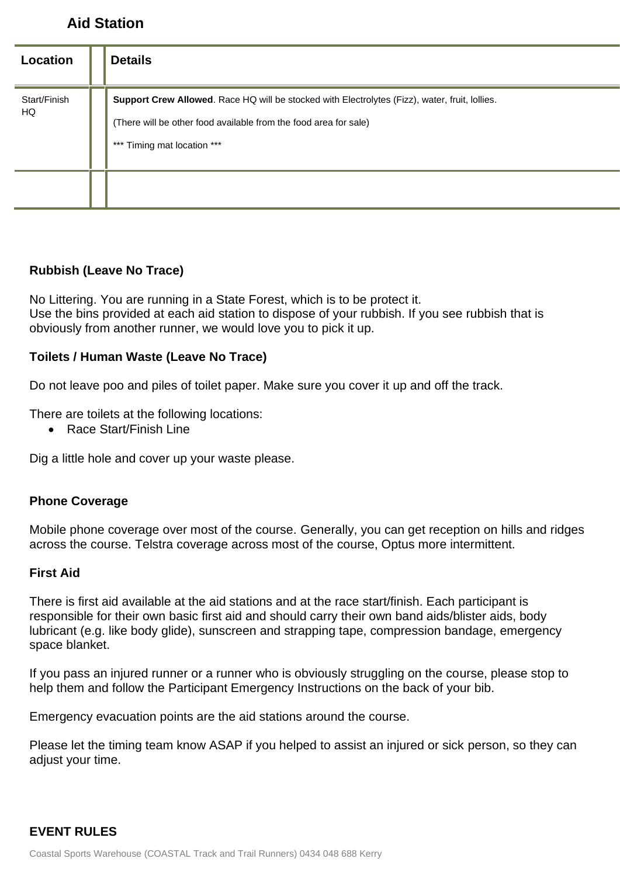### **Aid Station**

| Location           | <b>Details</b>                                                                                                                                                                                    |
|--------------------|---------------------------------------------------------------------------------------------------------------------------------------------------------------------------------------------------|
| Start/Finish<br>HQ | Support Crew Allowed. Race HQ will be stocked with Electrolytes (Fizz), water, fruit, lollies.<br>(There will be other food available from the food area for sale)<br>*** Timing mat location *** |
|                    |                                                                                                                                                                                                   |

### **Rubbish (Leave No Trace)**

No Littering. You are running in a State Forest, which is to be protect it. Use the bins provided at each aid station to dispose of your rubbish. If you see rubbish that is obviously from another runner, we would love you to pick it up.

### **Toilets / Human Waste (Leave No Trace)**

Do not leave poo and piles of toilet paper. Make sure you cover it up and off the track.

There are toilets at the following locations:

• Race Start/Finish Line

Dig a little hole and cover up your waste please.

### **Phone Coverage**

Mobile phone coverage over most of the course. Generally, you can get reception on hills and ridges across the course. Telstra coverage across most of the course, Optus more intermittent.

### **First Aid**

There is first aid available at the aid stations and at the race start/finish. Each participant is responsible for their own basic first aid and should carry their own band aids/blister aids, body lubricant (e.g. like body glide), sunscreen and strapping tape, compression bandage, emergency space blanket.

If you pass an injured runner or a runner who is obviously struggling on the course, please stop to help them and follow the Participant Emergency Instructions on the back of your bib.

Emergency evacuation points are the aid stations around the course.

Please let the timing team know ASAP if you helped to assist an injured or sick person, so they can adjust your time.

### **EVENT RULES**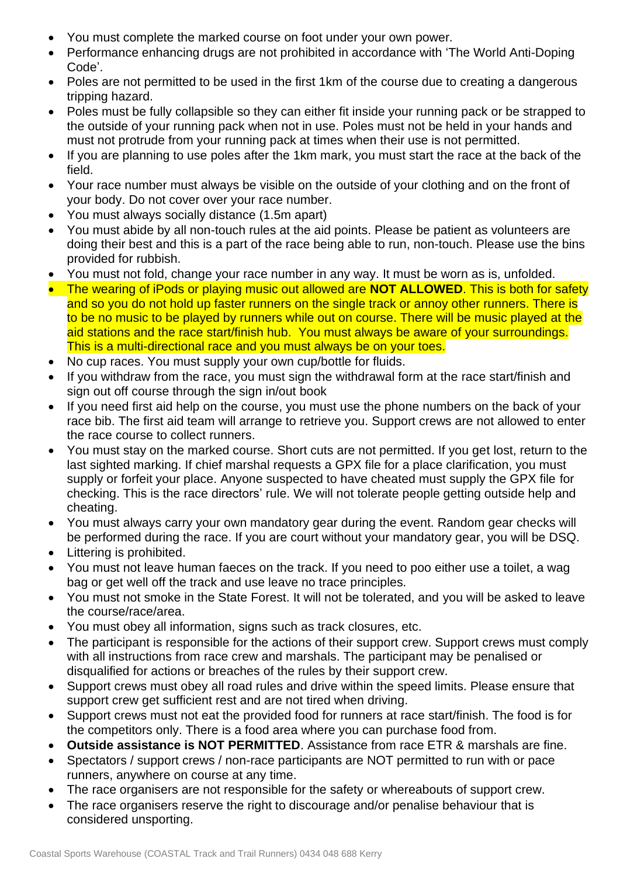- You must complete the marked course on foot under your own power.
- Performance enhancing drugs are not prohibited in accordance with 'The World Anti-Doping Code'.
- Poles are not permitted to be used in the first 1km of the course due to creating a dangerous tripping hazard.
- Poles must be fully collapsible so they can either fit inside your running pack or be strapped to the outside of your running pack when not in use. Poles must not be held in your hands and must not protrude from your running pack at times when their use is not permitted.
- If you are planning to use poles after the 1km mark, you must start the race at the back of the field.
- Your race number must always be visible on the outside of your clothing and on the front of your body. Do not cover over your race number.
- You must always socially distance (1.5m apart)
- You must abide by all non-touch rules at the aid points. Please be patient as volunteers are doing their best and this is a part of the race being able to run, non-touch. Please use the bins provided for rubbish.
- You must not fold, change your race number in any way. It must be worn as is, unfolded.
- The wearing of iPods or playing music out allowed are **NOT ALLOWED**. This is both for safety and so you do not hold up faster runners on the single track or annoy other runners. There is to be no music to be played by runners while out on course. There will be music played at the aid stations and the race start/finish hub. You must always be aware of your surroundings. This is a multi-directional race and you must always be on your toes.
- No cup races. You must supply your own cup/bottle for fluids.
- If you withdraw from the race, you must sign the withdrawal form at the race start/finish and sign out off course through the sign in/out book
- If you need first aid help on the course, you must use the phone numbers on the back of your race bib. The first aid team will arrange to retrieve you. Support crews are not allowed to enter the race course to collect runners.
- You must stay on the marked course. Short cuts are not permitted. If you get lost, return to the last sighted marking. If chief marshal requests a GPX file for a place clarification, you must supply or forfeit your place. Anyone suspected to have cheated must supply the GPX file for checking. This is the race directors' rule. We will not tolerate people getting outside help and cheating.
- You must always carry your own mandatory gear during the event. Random gear checks will be performed during the race. If you are court without your mandatory gear, you will be DSQ.
- Littering is prohibited.
- You must not leave human faeces on the track. If you need to poo either use a toilet, a wag bag or get well off the track and use leave no trace principles.
- You must not smoke in the State Forest. It will not be tolerated, and you will be asked to leave the course/race/area.
- You must obey all information, signs such as track closures, etc.
- The participant is responsible for the actions of their support crew. Support crews must comply with all instructions from race crew and marshals. The participant may be penalised or disqualified for actions or breaches of the rules by their support crew.
- Support crews must obey all road rules and drive within the speed limits. Please ensure that support crew get sufficient rest and are not tired when driving.
- Support crews must not eat the provided food for runners at race start/finish. The food is for the competitors only. There is a food area where you can purchase food from.
- **Outside assistance is NOT PERMITTED**. Assistance from race ETR & marshals are fine.
- Spectators / support crews / non-race participants are NOT permitted to run with or pace runners, anywhere on course at any time.
- The race organisers are not responsible for the safety or whereabouts of support crew.
- The race organisers reserve the right to discourage and/or penalise behaviour that is considered unsporting.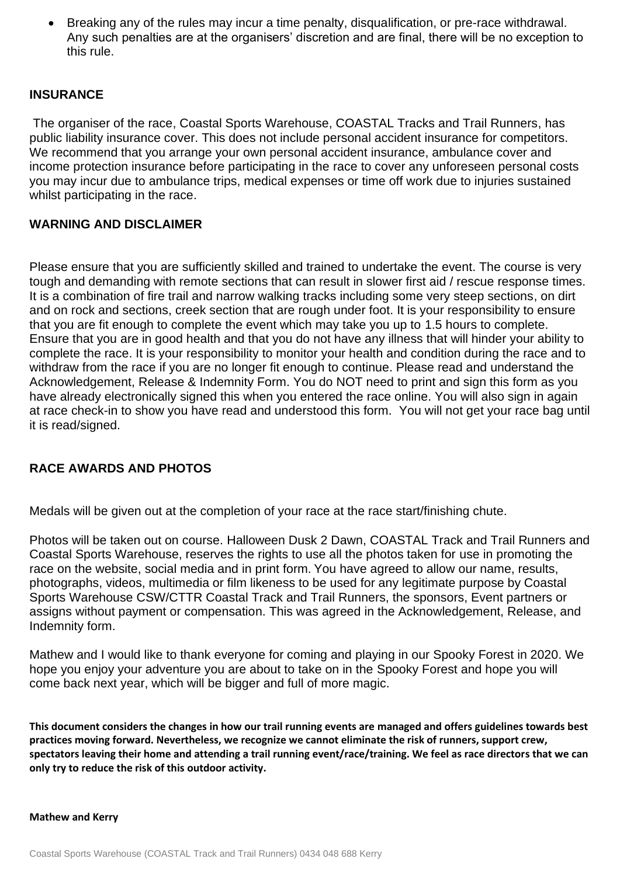• Breaking any of the rules may incur a time penalty, disqualification, or pre-race withdrawal. Any such penalties are at the organisers' discretion and are final, there will be no exception to this rule.

### **INSURANCE**

The organiser of the race, Coastal Sports Warehouse, COASTAL Tracks and Trail Runners, has public liability insurance cover. This does not include personal accident insurance for competitors. We recommend that you arrange your own personal accident insurance, ambulance cover and income protection insurance before participating in the race to cover any unforeseen personal costs you may incur due to ambulance trips, medical expenses or time off work due to injuries sustained whilst participating in the race.

### **WARNING AND DISCLAIMER**

Please ensure that you are sufficiently skilled and trained to undertake the event. The course is very tough and demanding with remote sections that can result in slower first aid / rescue response times. It is a combination of fire trail and narrow walking tracks including some very steep sections, on dirt and on rock and sections, creek section that are rough under foot. It is your responsibility to ensure that you are fit enough to complete the event which may take you up to 1.5 hours to complete. Ensure that you are in good health and that you do not have any illness that will hinder your ability to complete the race. It is your responsibility to monitor your health and condition during the race and to withdraw from the race if you are no longer fit enough to continue. Please read and understand the Acknowledgement, Release & Indemnity Form. You do NOT need to print and sign this form as you have already electronically signed this when you entered the race online. You will also sign in again at race check-in to show you have read and understood this form. You will not get your race bag until it is read/signed.

### **RACE AWARDS AND PHOTOS**

Medals will be given out at the completion of your race at the race start/finishing chute.

Photos will be taken out on course. Halloween Dusk 2 Dawn, COASTAL Track and Trail Runners and Coastal Sports Warehouse, reserves the rights to use all the photos taken for use in promoting the race on the website, social media and in print form. You have agreed to allow our name, results, photographs, videos, multimedia or film likeness to be used for any legitimate purpose by Coastal Sports Warehouse CSW/CTTR Coastal Track and Trail Runners, the sponsors, Event partners or assigns without payment or compensation. This was agreed in the Acknowledgement, Release, and Indemnity form.

Mathew and I would like to thank everyone for coming and playing in our Spooky Forest in 2020. We hope you enjoy your adventure you are about to take on in the Spooky Forest and hope you will come back next year, which will be bigger and full of more magic.

**This document considers the changes in how our trail running events are managed and offers guidelines towards best practices moving forward. Nevertheless, we recognize we cannot eliminate the risk of runners, support crew, spectators leaving their home and attending a trail running event/race/training. We feel as race directors that we can only try to reduce the risk of this outdoor activity.**

### **Mathew and Kerry**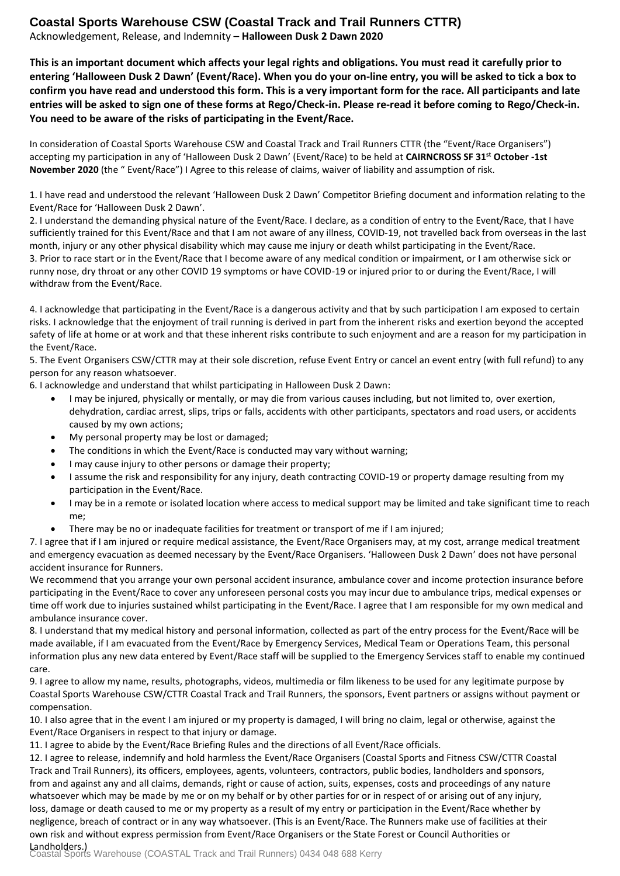### **Coastal Sports Warehouse CSW (Coastal Track and Trail Runners CTTR)**

Acknowledgement, Release, and Indemnity – **Halloween Dusk 2 Dawn 2020**

**This is an important document which affects your legal rights and obligations. You must read it carefully prior to entering 'Halloween Dusk 2 Dawn' (Event/Race). When you do your on-line entry, you will be asked to tick a box to confirm you have read and understood this form. This is a very important form for the race. All participants and late entries will be asked to sign one of these forms at Rego/Check-in. Please re-read it before coming to Rego/Check-in. You need to be aware of the risks of participating in the Event/Race.**

In consideration of Coastal Sports Warehouse CSW and Coastal Track and Trail Runners CTTR (the "Event/Race Organisers") accepting my participation in any of 'Halloween Dusk 2 Dawn' (Event/Race) to be held at **CAIRNCROSS SF 31st October -1st November 2020** (the " Event/Race") I Agree to this release of claims, waiver of liability and assumption of risk.

1. I have read and understood the relevant 'Halloween Dusk 2 Dawn' Competitor Briefing document and information relating to the Event/Race for 'Halloween Dusk 2 Dawn'.

2. I understand the demanding physical nature of the Event/Race. I declare, as a condition of entry to the Event/Race, that I have sufficiently trained for this Event/Race and that I am not aware of any illness, COVID-19, not travelled back from overseas in the last month, injury or any other physical disability which may cause me injury or death whilst participating in the Event/Race. 3. Prior to race start or in the Event/Race that I become aware of any medical condition or impairment, or I am otherwise sick or

runny nose, dry throat or any other COVID 19 symptoms or have COVID-19 or injured prior to or during the Event/Race, I will withdraw from the Event/Race.

4. I acknowledge that participating in the Event/Race is a dangerous activity and that by such participation I am exposed to certain risks. I acknowledge that the enjoyment of trail running is derived in part from the inherent risks and exertion beyond the accepted safety of life at home or at work and that these inherent risks contribute to such enjoyment and are a reason for my participation in the Event/Race.

5. The Event Organisers CSW/CTTR may at their sole discretion, refuse Event Entry or cancel an event entry (with full refund) to any person for any reason whatsoever.

6. I acknowledge and understand that whilst participating in Halloween Dusk 2 Dawn:

- • I may be injured, physically or mentally, or may die from various causes including, but not limited to, over exertion, dehydration, cardiac arrest, slips, trips or falls, accidents with other participants, spectators and road users, or accidents caused by my own actions;
- •My personal property may be lost or damaged;
- •The conditions in which the Event/Race is conducted may vary without warning;
- •I may cause injury to other persons or damage their property;
- • I assume the risk and responsibility for any injury, death contracting COVID-19 or property damage resulting from my participation in the Event/Race.
- • I may be in a remote or isolated location where access to medical support may be limited and take significant time to reach me;
- •There may be no or inadequate facilities for treatment or transport of me if I am injured;

7. I agree that if I am injured or require medical assistance, the Event/Race Organisers may, at my cost, arrange medical treatment and emergency evacuation as deemed necessary by the Event/Race Organisers. 'Halloween Dusk 2 Dawn' does not have personal accident insurance for Runners.

We recommend that you arrange your own personal accident insurance, ambulance cover and income protection insurance before participating in the Event/Race to cover any unforeseen personal costs you may incur due to ambulance trips, medical expenses or time off work due to injuries sustained whilst participating in the Event/Race. I agree that I am responsible for my own medical and ambulance insurance cover.

8. I understand that my medical history and personal information, collected as part of the entry process for the Event/Race will be made available, if I am evacuated from the Event/Race by Emergency Services, Medical Team or Operations Team, this personal information plus any new data entered by Event/Race staff will be supplied to the Emergency Services staff to enable my continued care.

9. I agree to allow my name, results, photographs, videos, multimedia or film likeness to be used for any legitimate purpose by Coastal Sports Warehouse CSW/CTTR Coastal Track and Trail Runners, the sponsors, Event partners or assigns without payment or compensation.

10. I also agree that in the event I am injured or my property is damaged, I will bring no claim, legal or otherwise, against the Event/Race Organisers in respect to that injury or damage.

11. I agree to abide by the Event/Race Briefing Rules and the directions of all Event/Race officials.

12. I agree to release, indemnify and hold harmless the Event/Race Organisers (Coastal Sports and Fitness CSW/CTTR Coastal Track and Trail Runners), its officers, employees, agents, volunteers, contractors, public bodies, landholders and sponsors, from and against any and all claims, demands, right or cause of action, suits, expenses, costs and proceedings of any nature whatsoever which may be made by me or on my behalf or by other parties for or in respect of or arising out of any injury, loss, damage or death caused to me or my property as a result of my entry or participation in the Event/Race whether by negligence, breach of contract or in any way whatsoever. (This is an Event/Race. The Runners make use of facilities at their own risk and without express permission from Event/Race Organisers or the State Forest or Council Authorities or

**Landholders.)**<br>Coastal Sports Warehouse (COASTAL Track and Trail Runners) 0434 048 688 Kerry